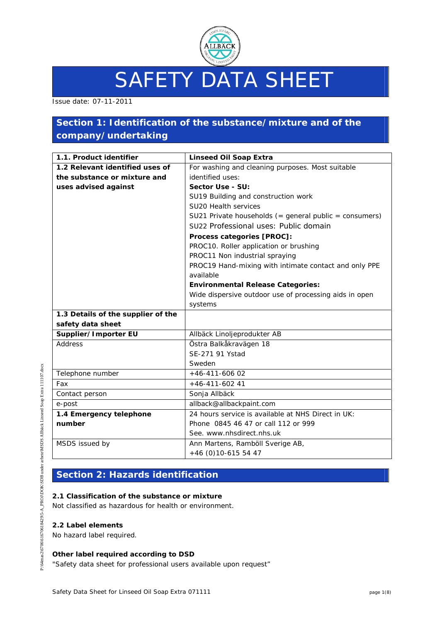

# SAFETY DATA SHEET

Issue date: 07-11-2011

## **Section 1: Identification of the substance/mixture and of the company/undertaking**

| 1.1. Product identifier            | <b>Linseed Oil Soap Extra</b>                          |  |
|------------------------------------|--------------------------------------------------------|--|
| 1.2 Relevant identified uses of    | For washing and cleaning purposes. Most suitable       |  |
| the substance or mixture and       | identified uses:                                       |  |
| uses advised against               | Sector Use - SU:                                       |  |
|                                    | SU19 Building and construction work                    |  |
|                                    | SU20 Health services                                   |  |
|                                    | SU21 Private households (= general public = consumers) |  |
|                                    | SU22 Professional uses: Public domain                  |  |
|                                    | Process categories [PROC]:                             |  |
|                                    | PROC10. Roller application or brushing                 |  |
|                                    | PROC11 Non industrial spraying                         |  |
|                                    | PROC19 Hand-mixing with intimate contact and only PPE  |  |
|                                    | available                                              |  |
|                                    | <b>Environmental Release Categories:</b>               |  |
|                                    | Wide dispersive outdoor use of processing aids in open |  |
|                                    | systems                                                |  |
| 1.3 Details of the supplier of the |                                                        |  |
| safety data sheet                  |                                                        |  |
| Supplier/Importer EU               | Allbäck Linoljeprodukter AB                            |  |
| Address                            | Östra Balkåkravägen 18                                 |  |
|                                    | SE-271 91 Ystad                                        |  |
|                                    | Sweden                                                 |  |
| Telephone number                   | $+46-411-60602$                                        |  |
| Fax                                | $+46-411-60241$                                        |  |
| Contact person                     | Sonja Allbäck                                          |  |
| e-post                             | allback@allbackpaint.com                               |  |
| 1.4 Emergency telephone            | 24 hours service is available at NHS Direct in UK:     |  |
| number                             | Phone 0845 46 47 or call 112 or 999                    |  |
|                                    | See. www.nhsdirect.nhs.uk                              |  |
| MSDS issued by                     | Ann Martens, Ramböll Sverige AB,                       |  |
|                                    | $+46$ (0)10-615 54 47                                  |  |

## **Section 2: Hazards identification**

#### **2.1 Classification of the substance or mixture**

Not classified as hazardous for health or environment.

#### **2.2 Label elements**

No hazard label required.

#### **Other label required according to DSD**

"Safety data sheet for professional users available upon request"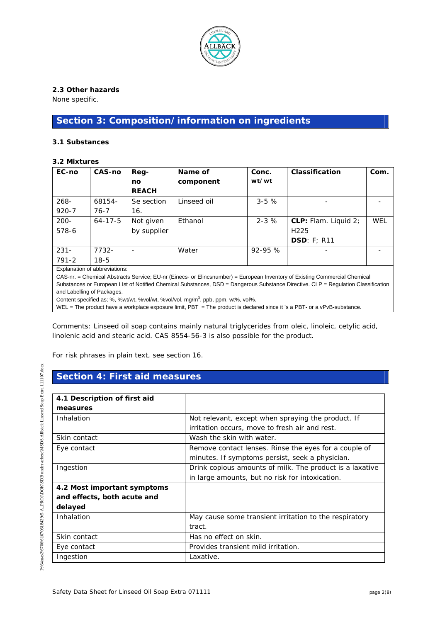

#### **2.3 Other hazards**

None specific.

## **Section 3: Composition/information on ingredients**

#### **3.1 Substances**

#### **3.2 Mixtures**

| EC-no     | CAS-no                        | Reg-         | Name of     | Conc.      | Classification       | Com. |
|-----------|-------------------------------|--------------|-------------|------------|----------------------|------|
|           |                               | no           | component   | wt/wt      |                      |      |
|           |                               | <b>REACH</b> |             |            |                      |      |
| $268 -$   | 68154-                        | Se section   | Linseed oil | $3 - 5$ %  |                      |      |
| $920 - 7$ | $76 - 7$                      | 16.          |             |            |                      |      |
| $200 -$   | $64 - 17 - 5$                 | Not given    | Ethanol     | $2 - 3$ %  | CLP: Flam. Liquid 2; | WEL  |
| 578-6     |                               | by supplier  |             |            | H <sub>225</sub>     |      |
|           |                               |              |             |            | DSD: F: R11          |      |
| $231 -$   | 7732-                         |              | Water       | $92 - 95%$ |                      |      |
| $791 - 2$ | $18-5$                        |              |             |            |                      |      |
|           | Explanation of abbreviations: |              |             |            |                      |      |

CAS-nr. = Chemical Abstracts Service; EU-nr (Einecs- or Elincsnumber) = European Inventory of Existing Commercial Chemical Substances or European LIst of Notified Chemical Substances, DSD = Dangerous Substance Directive. CLP = Regulation Classification and Labelling of Packages.

Content specified as; %, %wt/wt, %vol/wt, %vol/vol, mg/m<sup>3</sup>, ppb, ppm, wt%, vol%.

WEL = The product have a workplace exposure limit, PBT = The product is declared since it 's a PBT- or a vPvB-substance.

Comments: Linseed oil soap contains mainly natural triglycerides from oleic, linoleic, cetylic acid, linolenic acid and stearic acid. CAS 8554-56-3 is also possible for the product.

For risk phrases in plain text, see section 16.

## **Section 4: First aid measures**

| 4.1 Description of first aid |                                                          |
|------------------------------|----------------------------------------------------------|
| measures                     |                                                          |
| Inhalation                   | Not relevant, except when spraying the product. If       |
|                              | irritation occurs, move to fresh air and rest.           |
| Skin contact                 | Wash the skin with water.                                |
| Eye contact                  | Remove contact lenses. Rinse the eyes for a couple of    |
|                              | minutes. If symptoms persist, seek a physician.          |
| Ingestion                    | Drink copious amounts of milk. The product is a laxative |
|                              | in large amounts, but no risk for intoxication.          |
| 4.2 Most important symptoms  |                                                          |
| and effects, both acute and  |                                                          |
| delayed                      |                                                          |
| Inhalation                   | May cause some transient irritation to the respiratory   |
|                              | tract.                                                   |
| Skin contact                 | Has no effect on skin.                                   |
| Eye contact                  | Provides transient mild irritation.                      |
| Ingestion                    | Laxative.                                                |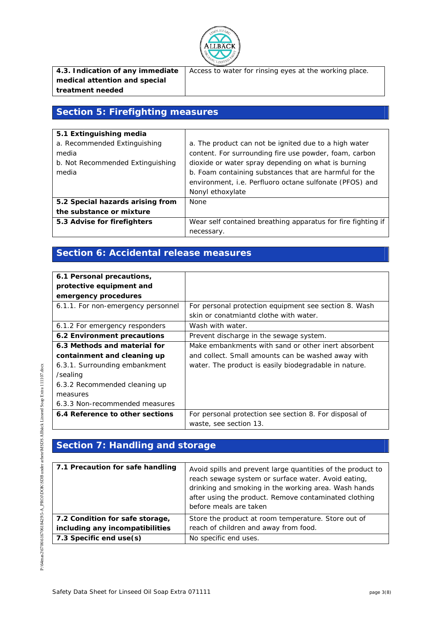

|                               | <b>4.3. Indication of any immediate</b> $\vert$ Access to water for rinsing eyes at the working place. |
|-------------------------------|--------------------------------------------------------------------------------------------------------|
| medical attention and special |                                                                                                        |
| treatment needed              |                                                                                                        |

## **Section 5: Firefighting measures**

| 5.1 Extinguishing media          |                                                              |
|----------------------------------|--------------------------------------------------------------|
| a. Recommended Extinguishing     | a. The product can not be ignited due to a high water        |
| media                            | content. For surrounding fire use powder, foam, carbon       |
| b. Not Recommended Extinguishing | dioxide or water spray depending on what is burning          |
| media                            | b. Foam containing substances that are harmful for the       |
|                                  | environment, i.e. Perfluoro octane sulfonate (PFOS) and      |
|                                  | Nonyl ethoxylate                                             |
| 5.2 Special hazards arising from | None                                                         |
| the substance or mixture         |                                                              |
| 5.3 Advise for firefighters      | Wear self contained breathing apparatus for fire fighting if |
|                                  | necessary.                                                   |

## **Section 6: Accidental release measures**

| 6.1 Personal precautions,          |                                                        |
|------------------------------------|--------------------------------------------------------|
| protective equipment and           |                                                        |
| emergency procedures               |                                                        |
| 6.1.1. For non-emergency personnel | For personal protection equipment see section 8. Wash  |
|                                    | skin or conatmiantd clothe with water.                 |
| 6.1.2 For emergency responders     | Wash with water.                                       |
| 6.2 Environment precautions        | Prevent discharge in the sewage system.                |
| 6.3 Methods and material for       | Make embankments with sand or other inert absorbent    |
| containment and cleaning up        | and collect. Small amounts can be washed away with     |
| 6.3.1. Surrounding embankment      | water. The product is easily biodegradable in nature.  |
| /sealing                           |                                                        |
| 6.3.2 Recommended cleaning up      |                                                        |
| measures                           |                                                        |
| 6.3.3 Non-recommended measures     |                                                        |
| 6.4 Reference to other sections    | For personal protection see section 8. For disposal of |
|                                    | waste, see section 13.                                 |

## **Section 7: Handling and storage**

| 7.1 Precaution for safe handling | Avoid spills and prevent large quantities of the product to<br>reach sewage system or surface water. Avoid eating,<br>drinking and smoking in the working area. Wash hands<br>after using the product. Remove contaminated clothing<br>before meals are taken |
|----------------------------------|---------------------------------------------------------------------------------------------------------------------------------------------------------------------------------------------------------------------------------------------------------------|
| 7.2 Condition for safe storage,  | Store the product at room temperature. Store out of                                                                                                                                                                                                           |
| including any incompatibilities  | reach of children and away from food.                                                                                                                                                                                                                         |
| 7.3 Specific end use(s)          | No specific end uses.                                                                                                                                                                                                                                         |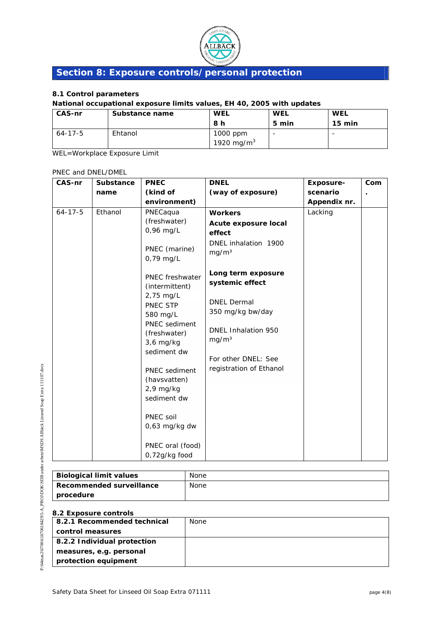

## **Section 8: Exposure controls/personal protection**

#### **8.1 Control parameters**

## **National occupational exposure limits values, EH 40, 2005 with updates**

| <b>CAS-nr</b> | Substance name | <b>WEL</b>    | WEL   | <b>WEL</b>               |
|---------------|----------------|---------------|-------|--------------------------|
|               |                | 8 h           | 5 min | $15 \text{ min}$         |
| $64 - 17 - 5$ | Ehtanol        | 1000 ppm      |       | $\overline{\phantom{0}}$ |
|               |                | 1920 mg/m $3$ |       |                          |

WEL=Workplace Exposure Limit

#### PNEC and DNEL/DMEL

| CAS-nr        | <b>Substance</b> | <b>PNEC</b>                                    | <b>DNEL</b>                                    | <b>Exposure-</b> | Com |
|---------------|------------------|------------------------------------------------|------------------------------------------------|------------------|-----|
|               | name             | (kind of                                       | (way of exposure)                              | scenario         |     |
|               |                  | environment)                                   |                                                | Appendix nr.     |     |
| $64 - 17 - 5$ | Ethanol          | PNECaqua                                       | <b>Workers</b>                                 | Lacking          |     |
|               |                  | (freshwater)<br>0,96 mg/L                      | Acute exposure local<br>effect                 |                  |     |
|               |                  | PNEC (marine)<br>0,79 mg/L                     | DNEL inhalation 1900<br>mg/m <sup>3</sup>      |                  |     |
|               |                  | PNEC freshwater<br>(intermittent)<br>2,75 mg/L | Long term exposure<br>systemic effect          |                  |     |
|               |                  | PNEC STP<br>580 mg/L<br>PNEC sediment          | <b>DNEL Dermal</b><br>350 mg/kg bw/day         |                  |     |
|               |                  | (freshwater)<br>$3,6$ mg/kg<br>sediment dw     | DNEL Inhalation 950<br>mg/m <sup>3</sup>       |                  |     |
|               |                  | PNEC sediment<br>(havsvatten)                  | For other DNEL: See<br>registration of Ethanol |                  |     |
|               |                  | $2,9$ mg/kg<br>sediment dw                     |                                                |                  |     |
|               |                  | PNEC soil<br>0,63 mg/kg dw                     |                                                |                  |     |
|               |                  | PNEC oral (food)<br>0,72g/kg food              |                                                |                  |     |

| <b>Biological limit values</b>  | None |
|---------------------------------|------|
| <b>Recommended surveillance</b> | None |
| procedure                       |      |

#### **8.2 Exposure controls**

| 8.2.1 Recommended technical | <b>None</b> |
|-----------------------------|-------------|
| control measures            |             |
| 8.2.2 Individual protection |             |
| measures, e.g. personal     |             |
| protection equipment        |             |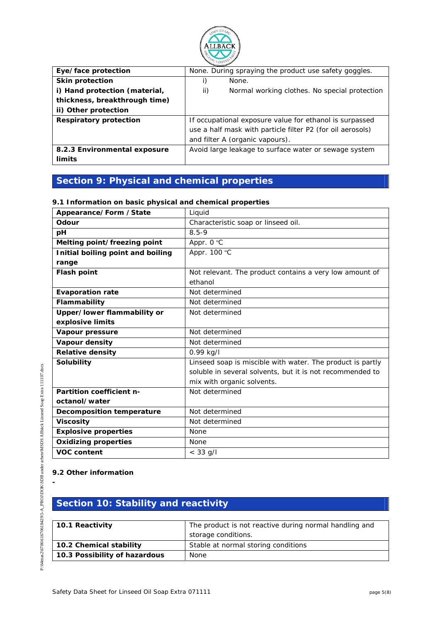

| Eye/face protection           | None. During spraying the product use safety goggles.      |  |
|-------------------------------|------------------------------------------------------------|--|
| <b>Skin protection</b>        | None.                                                      |  |
| i) Hand protection (material, | ii)<br>Normal working clothes. No special protection       |  |
| thickness, breakthrough time) |                                                            |  |
| ii) Other protection          |                                                            |  |
| <b>Respiratory protection</b> | If occupational exposure value for ethanol is surpassed    |  |
|                               | use a half mask with particle filter P2 (for oil aerosols) |  |
|                               | and filter A (organic vapours).                            |  |
| 8.2.3 Environmental exposure  | Avoid large leakage to surface water or sewage system      |  |
| limits                        |                                                            |  |

## **Section 9: Physical and chemical properties**

#### **9.1 Information on basic physical and chemical properties**

| Appearance/Form /State            | Liquid                                                     |
|-----------------------------------|------------------------------------------------------------|
| Odour                             | Characteristic soap or linseed oil.                        |
| pH                                | $8.5 - 9$                                                  |
| Melting point/freezing point      | Appr. 0 °C                                                 |
| Initial boiling point and boiling | Appr. 100 °C                                               |
| range                             |                                                            |
| <b>Flash point</b>                | Not relevant. The product contains a very low amount of    |
|                                   | ethanol                                                    |
| <b>Evaporation rate</b>           | Not determined                                             |
| Flammability                      | Not determined                                             |
| Upper/lower flammability or       | Not determined                                             |
| explosive limits                  |                                                            |
| Vapour pressure                   | Not determined                                             |
| Vapour density                    | Not determined                                             |
| <b>Relative density</b>           | $0.99$ kg/l                                                |
| <b>Solubility</b>                 | Linseed soap is miscible with water. The product is partly |
|                                   | soluble in several solvents, but it is not recommended to  |
|                                   | mix with organic solvents.                                 |
| Partition coefficient n-          | Not determined                                             |
| octanol/water                     |                                                            |
| <b>Decomposition temperature</b>  | Not determined                                             |
| <b>Viscosity</b>                  | Not determined                                             |
| <b>Explosive properties</b>       | None                                                       |
| <b>Oxidizing properties</b>       | <b>None</b>                                                |
| <b>VOC content</b>                | $< 33$ g/l                                                 |

#### **9.2 Other information**

**-** 

## **Section 10: Stability and reactivity**

| 10.1 Reactivity               | The product is not reactive during normal handling and |
|-------------------------------|--------------------------------------------------------|
|                               | storage conditions.                                    |
| 10.2 Chemical stability       | Stable at normal storing conditions                    |
| 10.3 Possibility of hazardous | <b>None</b>                                            |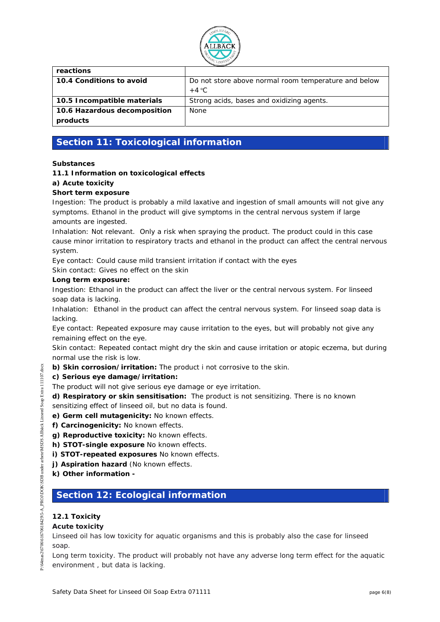

| reactions                    |                                                      |
|------------------------------|------------------------------------------------------|
| 10.4 Conditions to avoid     | Do not store above normal room temperature and below |
|                              | $+4 °C$                                              |
| 10.5 Incompatible materials  | Strong acids, bases and oxidizing agents.            |
| 10.6 Hazardous decomposition | <b>None</b>                                          |
| products                     |                                                      |

## **Section 11: Toxicological information**

#### **Substances**

#### **11.1 Information on toxicological effects**

#### **a) Acute toxicity**

#### **Short term exposure**

Ingestion: The product is probably a mild laxative and ingestion of small amounts will not give any symptoms. Ethanol in the product will give symptoms in the central nervous system if large amounts are ingested.

Inhalation: Not relevant. Only a risk when spraying the product. The product could in this case cause minor irritation to respiratory tracts and ethanol in the product can affect the central nervous system.

Eye contact: Could cause mild transient irritation if contact with the eyes Skin contact: Gives no effect on the skin

#### **Long term exposure:**

Ingestion: Ethanol in the product can affect the liver or the central nervous system. For linseed soap data is lacking.

Inhalation: Ethanol in the product can affect the central nervous system. For linseed soap data is lacking.

Eye contact: Repeated exposure may cause irritation to the eyes, but will probably not give any remaining effect on the eye.

Skin contact: Repeated contact might dry the skin and cause irritation or atopic eczema, but during normal use the risk is low.

**b) Skin corrosion/irritation:** The product i not corrosive to the skin.

#### **c) Serious eye damage/irritation:**

- The product will not give serious eye damage or eye irritation.
- **d) Respiratory or skin sensitisation:** The product is not sensitizing. There is no known sensitizing effect of linseed oil, but no data is found.
- **e) Germ cell mutagenicity:** No known effects.
- **f) Carcinogenicity:** No known effects.
- **g) Reproductive toxicity:** No known effects.
- **h) STOT-single exposure** No known effects.
- **i) STOT-repeated exposures** No known effects.
- **j) Aspiration hazard** *(No known effects.*
- **k) Other information**

## **Section 12: Ecological information**

#### **12.1 Toxicity**

#### **Acute toxicity**

Linseed oil has low toxicity for aquatic organisms and this is probably also the case for linseed soap.

Long term toxicity. The product will probably not have any adverse long term effect for the aquatic environment , but data is lacking.

111107.docx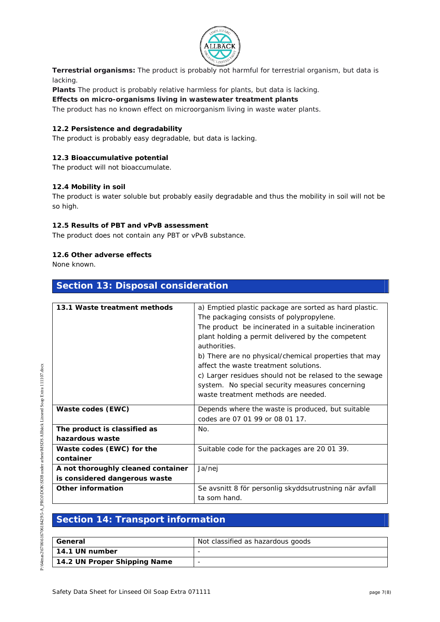

**Terrestrial organisms:** The product is probably not harmful for terrestrial organism, but data is lacking.

**Plants** The product is probably relative harmless for plants, but data is lacking.

**Effects on micro-organisms living in wastewater treatment plants** 

The product has no known effect on microorganism living in waste water plants.

#### **12.2 Persistence and degradability**

The product is probably easy degradable, but data is lacking.

#### **12.3 Bioaccumulative potential**

The product will not bioaccumulate.

#### **12.4 Mobility in soil**

The product is water soluble but probably easily degradable and thus the mobility in soil will not be so high.

#### **12.5 Results of PBT and vPvB assessment**

The product does not contain any PBT or vPvB substance.

**Section 13: Disposal consideration** 

#### **12.6 Other adverse effects**

None known.

| 13.1 Waste treatment methods       | a) Emptied plastic package are sorted as hard plastic. |
|------------------------------------|--------------------------------------------------------|
|                                    | The packaging consists of polypropylene.               |
|                                    | The product be incinerated in a suitable incineration  |
|                                    | plant holding a permit delivered by the competent      |
|                                    | authorities.                                           |
|                                    | b) There are no physical/chemical properties that may  |
|                                    | affect the waste treatment solutions.                  |
|                                    | c) Larger residues should not be relased to the sewage |
|                                    | system. No special security measures concerning        |
|                                    | waste treatment methods are needed.                    |
|                                    |                                                        |
| Waste codes (EWC)                  | Depends where the waste is produced, but suitable      |
|                                    | codes are 07 01 99 or 08 01 17.                        |
| The product is classified as       | No.                                                    |
| hazardous waste                    |                                                        |
| Waste codes (EWC) for the          | Suitable code for the packages are 20 01 39.           |
| container                          |                                                        |
| A not thoroughly cleaned container | Ja/nej                                                 |
| is considered dangerous waste      |                                                        |
| <b>Other information</b>           | Se avsnitt 8 för personlig skyddsutrustning när avfall |
|                                    | ta som hand.                                           |

## **Section 14: Transport information**

| General                      | Not classified as hazardous goods |
|------------------------------|-----------------------------------|
| 14.1 UN number               | $\overline{\phantom{0}}$          |
| 14.2 UN Proper Shipping Name | -                                 |